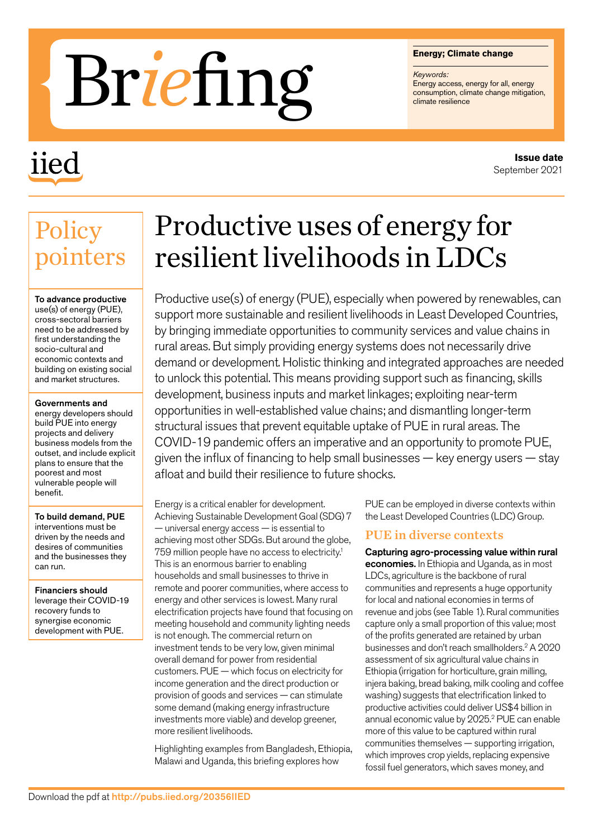#### **Energy; Climate change**

*Keywords:* Energy access, energy for all, energy<br>consumption, climate change mitigation,

# Energy; Clima<br> **Examples 1998**<br>
Consumption, climate resilience

# iied

# Productive uses of energy for resilient livelihoods in LDCs

Productive use(s) of energy (PUE), especially when powered by renewables, can support more sustainable and resilient livelihoods in Least Developed Countries, by bringing immediate opportunities to community services and value chains in rural areas. But simply providing energy systems does not necessarily drive demand or development. Holistic thinking and integrated approaches are needed to unlock this potential. This means providing support such as financing, skills development, business inputs and market linkages; exploiting near-term opportunities in well-established value chains; and dismantling longer-term structural issues that prevent equitable uptake of PUE in rural areas. The COVID-19 pandemic offers an imperative and an opportunity to promote PUE, given the influx of financing to help small businesses — key energy users — stay afloat and build their resilience to future shocks.

Energy is a critical enabler for development. Achieving Sustainable Development Goal (SDG) 7 — universal energy access — is essential to achieving most other SDGs. But around the globe, 759 million people have no access to electricity.1 This is an enormous barrier to enabling households and small businesses to thrive in remote and poorer communities, where access to energy and other services is lowest. Many rural electrification projects have found that focusing on meeting household and community lighting needs is not enough. The commercial return on investment tends to be very low, given minimal overall demand for power from residential customers. PUE — which focus on electricity for income generation and the direct production or provision of goods and services — can stimulate some demand (making energy infrastructure investments more viable) and develop greener, more resilient livelihoods.

Highlighting examples from Bangladesh, Ethiopia, Malawi and Uganda, this briefing explores how

PUE can be employed in diverse contexts within the Least Developed Countries (LDC) Group.

#### PUE in diverse contexts

Capturing agro-processing value within rural economies. In Ethiopia and Uganda, as in most LDCs, agriculture is the backbone of rural communities and represents a huge opportunity for local and national economies in terms of revenue and jobs (see Table 1). Rural communities capture only a small proportion of this value; most of the profits generated are retained by urban businesses and don't reach smallholders.2 A 2020 assessment of six agricultural value chains in Ethiopia (irrigation for horticulture, grain milling, injera baking, bread baking, milk cooling and coffee washing) suggests that electrification linked to productive activities could deliver US\$4 billion in annual economic value by 2025.<sup>2</sup> PUE can enable more of this value to be captured within rural communities themselves — supporting irrigation, which improves crop yields, replacing expensive fossil fuel generators, which saves money, and

## **Policy** pointers

To advance productive use(s) of energy (PUE), cross-sectoral barriers need to be addressed by first understanding the socio-cultural and economic contexts and building on existing social and market structures.

#### Governments and

energy developers should build PUE into energy projects and delivery business models from the outset, and include explicit plans to ensure that the poorest and most vulnerable people will benefit.

To build demand, PUE interventions must be driven by the needs and desires of communities and the businesses they can run.

Financiers should leverage their COVID-19 recovery funds to synergise economic development with PUE.

**Issue date** September 2021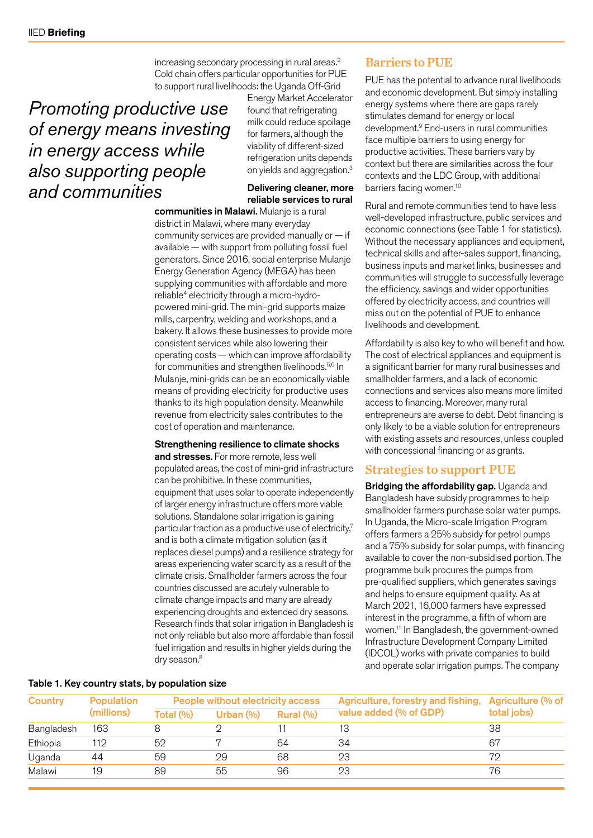increasing secondary processing in rural areas.2 Cold chain offers particular opportunities for PUE to support rural livelihoods: the Uganda Off-Grid

## *Promoting productive use of energy means investing in energy access while also supporting people and communities*

Energy Market Accelerator found that refrigerating milk could reduce spoilage for farmers, although the viability of different-sized refrigeration units depends on yields and aggregation.3

#### Delivering cleaner, more reliable services to rural

communities in Malawi. Mulanje is a rural district in Malawi, where many everyday community services are provided manually or — if available — with support from polluting fossil fuel generators. Since 2016, social enterprise Mulanje Energy Generation Agency (MEGA) has been supplying communities with affordable and more reliable<sup>4</sup> electricity through a micro-hydropowered mini-grid. The mini-grid supports maize mills, carpentry, welding and workshops, and a bakery. It allows these businesses to provide more consistent services while also lowering their operating costs — which can improve affordability for communities and strengthen livelihoods.5,6 In Mulanje, mini-grids can be an economically viable means of providing electricity for productive uses thanks to its high population density. Meanwhile revenue from electricity sales contributes to the cost of operation and maintenance.

#### Strengthening resilience to climate shocks

and stresses. For more remote, less well populated areas, the cost of mini-grid infrastructure can be prohibitive. In these communities, equipment that uses solar to operate independently of larger energy infrastructure offers more viable solutions. Standalone solar irrigation is gaining particular traction as a productive use of electricity,<sup>7</sup> and is both a climate mitigation solution (as it replaces diesel pumps) and a resilience strategy for areas experiencing water scarcity as a result of the climate crisis. Smallholder farmers across the four countries discussed are acutely vulnerable to climate change impacts and many are already experiencing droughts and extended dry seasons. Research finds that solar irrigation in Bangladesh is not only reliable but also more affordable than fossil fuel irrigation and results in higher yields during the dry season.<sup>8</sup>

## Barriers to PUE

PUE has the potential to advance rural livelihoods and economic development. But simply installing energy systems where there are gaps rarely stimulates demand for energy or local development.9 End-users in rural communities face multiple barriers to using energy for productive activities. These barriers vary by context but there are similarities across the four contexts and the LDC Group, with additional barriers facing women.<sup>10</sup>

Rural and remote communities tend to have less well-developed infrastructure, public services and economic connections (see Table 1 for statistics). Without the necessary appliances and equipment, technical skills and after-sales support, financing, business inputs and market links, businesses and communities will struggle to successfully leverage the efficiency, savings and wider opportunities offered by electricity access, and countries will miss out on the potential of PUE to enhance livelihoods and development.

Affordability is also key to who will benefit and how. The cost of electrical appliances and equipment is a significant barrier for many rural businesses and smallholder farmers, and a lack of economic connections and services also means more limited access to financing. Moreover, many rural entrepreneurs are averse to debt. Debt financing is only likely to be a viable solution for entrepreneurs with existing assets and resources, unless coupled with concessional financing or as grants.

### Strategies to support PUE

Bridging the affordability gap. Uganda and Bangladesh have subsidy programmes to help smallholder farmers purchase solar water pumps. In Uganda, the Micro-scale Irrigation Program offers farmers a 25% subsidy for petrol pumps and a 75% subsidy for solar pumps, with financing available to cover the non-subsidised portion. The programme bulk procures the pumps from pre-qualified suppliers, which generates savings and helps to ensure equipment quality. As at March 2021, 16,000 farmers have expressed interest in the programme, a fifth of whom are women.11 In Bangladesh, the government-owned Infrastructure Development Company Limited (IDCOL) works with private companies to build and operate solar irrigation pumps. The company

| <b>Country</b> | <b>Population</b><br>(millions) | People without electricity access |               |           | Agriculture, forestry and fishing, | Agriculture (% of |
|----------------|---------------------------------|-----------------------------------|---------------|-----------|------------------------------------|-------------------|
|                |                                 | Total (%)                         | Urban $(\% )$ | Rural (%) | value added (% of GDP)             | total jobs)       |
| Bangladesh     | 163                             |                                   |               |           | 13                                 | 38                |
| Ethiopia       | 112                             | 52                                |               | 64        | 34                                 | 67                |
| Uganda         | 44                              | 59                                | 29            | 68        | 23                                 | 79                |
| Malawi         | 19                              | 89                                | 55            | 96        | 23                                 | 76                |

#### Table 1. Key country stats, by population size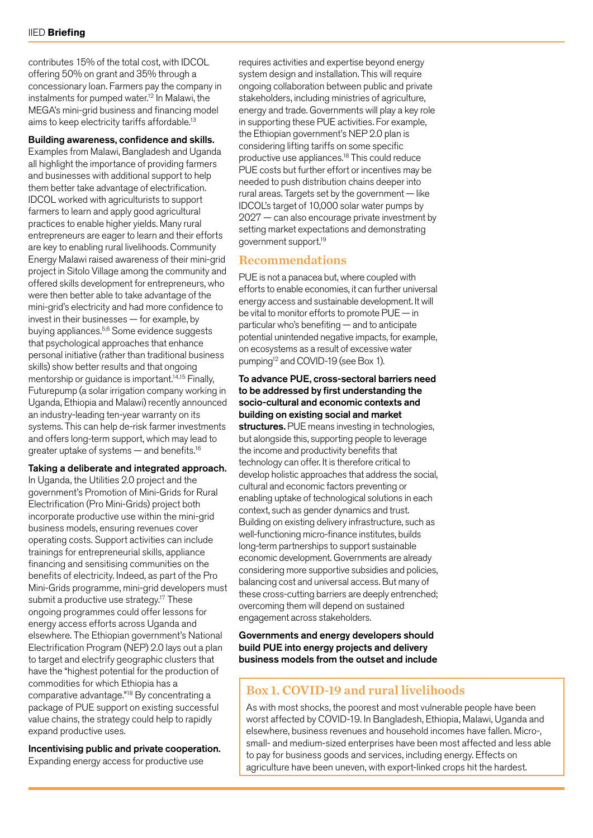contributes 15% of the total cost, with IDCOL offering 50% on grant and 35% through a concessionary loan. Farmers pay the company in instalments for pumped water.12 In Malawi, the MEGA's mini-grid business and financing model aims to keep electricity tariffs affordable.13

Building awareness, confidence and skills.

Examples from Malawi, Bangladesh and Uganda all highlight the importance of providing farmers and businesses with additional support to help them better take advantage of electrification. IDCOL worked with agriculturists to support farmers to learn and apply good agricultural practices to enable higher yields. Many rural entrepreneurs are eager to learn and their efforts are key to enabling rural livelihoods. Community Energy Malawi raised awareness of their mini-grid project in Sitolo Village among the community and offered skills development for entrepreneurs, who were then better able to take advantage of the mini-grid's electricity and had more confidence to invest in their businesses — for example, by buying appliances.5,6 Some evidence suggests that psychological approaches that enhance personal initiative (rather than traditional business skills) show better results and that ongoing mentorship or guidance is important.<sup>14,15</sup> Finally, Futurepump (a solar irrigation company working in Uganda, Ethiopia and Malawi) recently announced an industry-leading ten-year warranty on its systems. This can help de-risk farmer investments and offers long-term support, which may lead to greater uptake of systems — and benefits.16

#### Taking a deliberate and integrated approach.

In Uganda, the Utilities 2.0 project and the government's Promotion of Mini-Grids for Rural Electrification (Pro Mini-Grids) project both incorporate productive use within the mini-grid business models, ensuring revenues cover operating costs. Support activities can include trainings for entrepreneurial skills, appliance financing and sensitising communities on the benefits of electricity. Indeed, as part of the Pro Mini-Grids programme, mini-grid developers must submit a productive use strategy.<sup>17</sup> These ongoing programmes could offer lessons for energy access efforts across Uganda and elsewhere. The Ethiopian government's National Electrification Program (NEP) 2.0 lays out a plan to target and electrify geographic clusters that have the "highest potential for the production of commodities for which Ethiopia has a comparative advantage."18 By concentrating a package of PUE support on existing successful value chains, the strategy could help to rapidly expand productive uses.

Incentivising public and private cooperation. Expanding energy access for productive use

requires activities and expertise beyond energy system design and installation. This will require ongoing collaboration between public and private stakeholders, including ministries of agriculture, energy and trade. Governments will play a key role in supporting these PUE activities. For example, the Ethiopian government's NEP 2.0 plan is considering lifting tariffs on some specific productive use appliances.18 This could reduce PUE costs but further effort or incentives may be needed to push distribution chains deeper into rural areas. Targets set by the government — like IDCOL's target of 10,000 solar water pumps by 2027 — can also encourage private investment by setting market expectations and demonstrating government support.19

#### Recommendations

PUE is not a panacea but, where coupled with efforts to enable economies, it can further universal energy access and sustainable development. It will be vital to monitor efforts to promote PUE — in particular who's benefiting — and to anticipate potential unintended negative impacts, for example, on ecosystems as a result of excessive water pumping12 and COVID-19 (see Box 1).

#### To advance PUE, cross-sectoral barriers need to be addressed by first understanding the socio-cultural and economic contexts and building on existing social and market structures. PUE means investing in technologies,

but alongside this, supporting people to leverage the income and productivity benefits that technology can offer. It is therefore critical to develop holistic approaches that address the social, cultural and economic factors preventing or enabling uptake of technological solutions in each context, such as gender dynamics and trust. Building on existing delivery infrastructure, such as well-functioning micro-finance institutes, builds long-term partnerships to support sustainable economic development. Governments are already considering more supportive subsidies and policies, balancing cost and universal access. But many of these cross-cutting barriers are deeply entrenched; overcoming them will depend on sustained engagement across stakeholders.

Governments and energy developers should build PUE into energy projects and delivery business models from the outset and include

#### Box 1. COVID-19 and rural livelihoods

As with most shocks, the poorest and most vulnerable people have been worst affected by COVID-19. In Bangladesh, Ethiopia, Malawi, Uganda and elsewhere, business revenues and household incomes have fallen. Micro-, small- and medium-sized enterprises have been most affected and less able to pay for business goods and services, including energy. Effects on agriculture have been uneven, with export-linked crops hit the hardest.